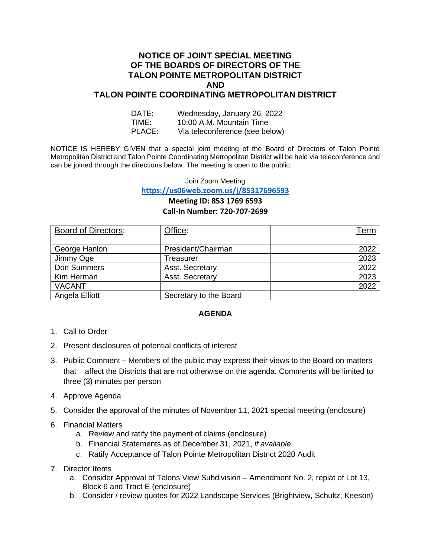### **NOTICE OF JOINT SPECIAL MEETING OF THE BOARDS OF DIRECTORS OF THE TALON POINTE METROPOLITAN DISTRICT AND TALON POINTE COORDINATING METROPOLITAN DISTRICT**

| DATE:  | Wednesday, January 26, 2022    |
|--------|--------------------------------|
| TIME:  | 10:00 A.M. Mountain Time       |
| PLACE: | Via teleconference (see below) |

NOTICE IS HEREBY GIVEN that a special joint meeting of the Board of Directors of Talon Pointe Metropolitan District and Talon Pointe Coordinating Metropolitan District will be held via teleconference and can be joined through the directions below. The meeting is open to the public.

Join Zoom Meeting

**<https://us06web.zoom.us/j/85317696593>**

## **Meeting ID: 853 1769 6593 Call-In Number: 720-707-2699**

| <b>Board of Directors:</b> | Office:                | Term |
|----------------------------|------------------------|------|
| George Hanlon              | President/Chairman     | 2022 |
| Jimmy Oge                  | Treasurer              | 2023 |
| Don Summers                | Asst. Secretary        | 2022 |
| Kim Herman                 | Asst. Secretary        | 2023 |
| <b>VACANT</b>              |                        | 2022 |
| Angela Elliott             | Secretary to the Board |      |

### **AGENDA**

- 1. Call to Order
- 2. Present disclosures of potential conflicts of interest
- 3. Public Comment Members of the public may express their views to the Board on matters that affect the Districts that are not otherwise on the agenda. Comments will be limited to three (3) minutes per person
- 4. Approve Agenda
- 5. Consider the approval of the minutes of November 11, 2021 special meeting (enclosure)
- 6. Financial Matters
	- a. Review and ratify the payment of claims (enclosure)
	- b. Financial Statements as of December 31, 2021, *if available*
	- c. Ratify Acceptance of Talon Pointe Metropolitan District 2020 Audit
- 7. Director Items
	- a. Consider Approval of Talons View Subdivision Amendment No. 2, replat of Lot 13, Block 6 and Tract E (enclosure)
	- b. Consider / review quotes for 2022 Landscape Services (Brightview, Schultz, Keeson)